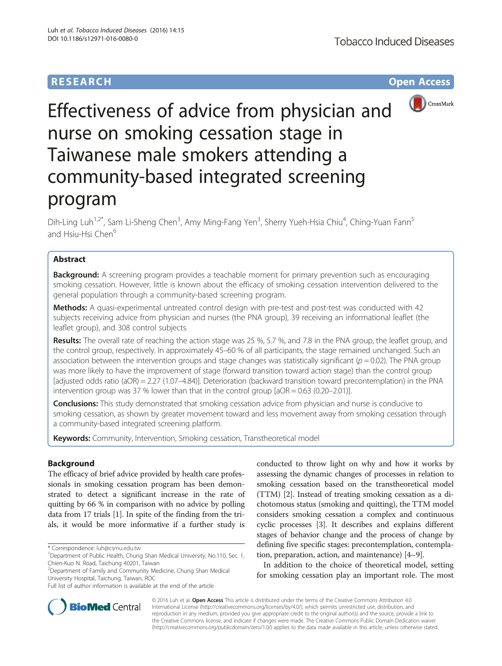## **RESEARCH CHE Open Access**



# Effectiveness of advice from physician and nurse on smoking cessation stage in Taiwanese male smokers attending a community-based integrated screening program

Dih-Ling Luh<sup>1,2\*</sup>, Sam Li-Sheng Chen<sup>3</sup>, Amy Ming-Fang Yen<sup>3</sup>, Sherry Yueh-Hsia Chiu<sup>4</sup>, Ching-Yuan Fann<sup>5</sup> and Hsiu-Hsi Chen<sup>6</sup>

## Abstract

**Background:** A screening program provides a teachable moment for primary prevention such as encouraging smoking cessation. However, little is known about the efficacy of smoking cessation intervention delivered to the general population through a community-based screening program.

Methods: A quasi-experimental untreated control design with pre-test and post-test was conducted with 42 subjects receiving advice from physician and nurses (the PNA group), 39 receiving an informational leaflet (the leaflet group), and 308 control subjects.

Results: The overall rate of reaching the action stage was 25 %, 5.7 %, and 7.8 in the PNA group, the leaflet group, and the control group, respectively. In approximately 45–60 % of all participants, the stage remained unchanged. Such an association between the intervention groups and stage changes was statistically significant ( $p = 0.02$ ). The PNA group was more likely to have the improvement of stage (forward transition toward action stage) than the control group [adjusted odds ratio (aOR) = 2.27 (1.07–4.84)]. Deterioration (backward transition toward precontemplation) in the PNA intervention group was 37 % lower than that in the control group [aOR = 0.63 (0.20–2.01)].

Conclusions: This study demonstrated that smoking cessation advice from physician and nurse is conducive to smoking cessation, as shown by greater movement toward and less movement away from smoking cessation through a community-based integrated screening platform.

Keywords: Community, Intervention, Smoking cessation, Transtheoretical model

## Background

The efficacy of brief advice provided by health care professionals in smoking cessation program has been demonstrated to detect a significant increase in the rate of quitting by 66 % in comparison with no advice by polling data from 17 trials [[1\]](#page-8-0). In spite of the finding from the trials, it would be more informative if a further study is

conducted to throw light on why and how it works by assessing the dynamic changes of processes in relation to smoking cessation based on the transtheoretical model (TTM) [\[2](#page-8-0)]. Instead of treating smoking cessation as a dichotomous status (smoking and quitting), the TTM model considers smoking cessation a complex and continuous cyclic processes [\[3](#page-8-0)]. It describes and explains different stages of behavior change and the process of change by defining five specific stages: precontemplation, contemplation, preparation, action, and maintenance) [[4](#page-8-0)–[9](#page-8-0)].

In addition to the choice of theoretical model, setting for smoking cessation play an important role. The most



© 2016 Luh et al. Open Access This article is distributed under the terms of the Creative Commons Attribution 4.0 International License [\(http://creativecommons.org/licenses/by/4.0/](http://creativecommons.org/licenses/by/4.0/)), which permits unrestricted use, distribution, and reproduction in any medium, provided you give appropriate credit to the original author(s) and the source, provide a link to the Creative Commons license, and indicate if changes were made. The Creative Commons Public Domain Dedication waiver [\(http://creativecommons.org/publicdomain/zero/1.0/](http://creativecommons.org/publicdomain/zero/1.0/)) applies to the data made available in this article, unless otherwise stated.

<sup>\*</sup> Correspondence: [luh@csmu.edu.tw](mailto:luh@csmu.edu.tw) <sup>1</sup>

<sup>&</sup>lt;sup>1</sup>Department of Public Health, Chung Shan Medical University, No.110, Sec. 1, Chien-Kuo N. Road, Taichung 40201, Taiwan

<sup>2</sup> Department of Family and Community Medicine, Chung Shan Medical University Hospital, Taichung, Taiwan, ROC

Full list of author information is available at the end of the article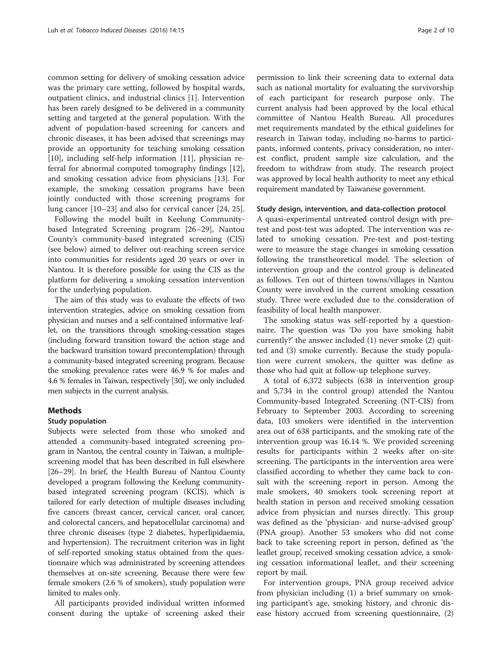common setting for delivery of smoking cessation advice was the primary care setting, followed by hospital wards, outpatient clinics, and industrial clinics [\[1\]](#page-8-0). Intervention has been rarely designed to be delivered in a community setting and targeted at the general population. With the advent of population-based screening for cancers and chronic diseases, it has been advised that screenings may provide an opportunity for teaching smoking cessation [[10\]](#page-9-0), including self-help information [[11\]](#page-9-0), physician referral for abnormal computed tomography findings [\[12](#page-9-0)], and smoking cessation advice from physicians [\[13](#page-9-0)]. For example, the smoking cessation programs have been jointly conducted with those screening programs for lung cancer [\[10](#page-9-0)–[23\]](#page-9-0) and also for cervical cancer [\[24](#page-9-0), [25](#page-9-0)].

Following the model built in Keelung Communitybased Integrated Screening program [[26](#page-9-0)–[29\]](#page-9-0), Nantou County's community-based integrated screening (CIS) (see below) aimed to deliver out-reaching screen service into communities for residents aged 20 years or over in Nantou. It is therefore possible for using the CIS as the platform for delivering a smoking cessation intervention for the underlying population.

The aim of this study was to evaluate the effects of two intervention strategies, advice on smoking cessation from physician and nurses and a self-contained informative leaflet, on the transitions through smoking-cessation stages (including forward transition toward the action stage and the backward transition toward precontemplation) through a community-based integrated screening program. Because the smoking prevalence rates were 46.9 % for males and 4.6 % females in Taiwan, respectively [[30](#page-9-0)], we only included men subjects in the current analysis.

### Methods

### Study population

Subjects were selected from those who smoked and attended a community-based integrated screening program in Nantou, the central county in Taiwan, a multiplescreening model that has been described in full elsewhere [[26](#page-9-0)–[29\]](#page-9-0). In brief, the Health Bureau of Nantou County developed a program following the Keelung communitybased integrated screening program (KCIS), which is tailored for early detection of multiple diseases including five cancers (breast cancer, cervical cancer, oral cancer, and colorectal cancers, and hepatocellular carcinoma) and three chronic diseases (type 2 diabetes, hyperlipidaemia, and hypertension). The recruitment criterion was in light of self-reported smoking status obtained from the questionnaire which was administrated by screening attendees themselves at on-site screening. Because there were few female smokers (2.6 % of smokers), study population were limited to males only.

All participants provided individual written informed consent during the uptake of screening asked their

permission to link their screening data to external data such as national mortality for evaluating the survivorship of each participant for research purpose only. The current analysis had been approved by the local ethical committee of Nantou Health Bureau. All procedures met requirements mandated by the ethical guidelines for research in Taiwan today, including no-harms to participants, informed contents, privacy consideration, no interest conflict, prudent sample size calculation, and the freedom to withdraw from study. The research project was approved by local health authority to meet any ethical requirement mandated by Taiwanese government.

#### Study design, intervention, and data-collection protocol

A quasi-experimental untreated control design with pretest and post-test was adopted. The intervention was related to smoking cessation. Pre-test and post-testing were to measure the stage changes in smoking cessation following the transtheoretical model. The selection of intervention group and the control group is delineated as follows. Ten out of thirteen towns/villages in Nantou County were involved in the current smoking cessation study. Three were excluded due to the consideration of feasibility of local health manpower.

The smoking status was self-reported by a questionnaire. The question was 'Do you have smoking habit currently?' the answer included (1) never smoke (2) quitted and (3) smoke currently. Because the study population were current smokers, the quitter was define as those who had quit at follow-up telephone survey.

A total of 6,372 subjects (638 in intervention group and 5,734 in the control group) attended the Nantou Community-based Integrated Screening (NT-CIS) from February to September 2003. According to screening data, 103 smokers were identified in the intervention area out of 638 participants, and the smoking rate of the intervention group was 16.14 %. We provided screening results for participants within 2 weeks after on-site screening. The participants in the intervention area were classified according to whether they came back to consult with the screening report in person. Among the male smokers, 40 smokers took screening report at health station in person and received smoking cessation advice from physician and nurses directly. This group was defined as the 'physician- and nurse-advised group' (PNA group). Another 53 smokers who did not come back to take screening report in person, defined as 'the leaflet group', received smoking cessation advice, a smoking cessation informational leaflet, and their screening report by mail.

For intervention groups, PNA group received advice from physician including (1) a brief summary on smoking participant's age, smoking history, and chronic disease history accrued from screening questionnaire, (2)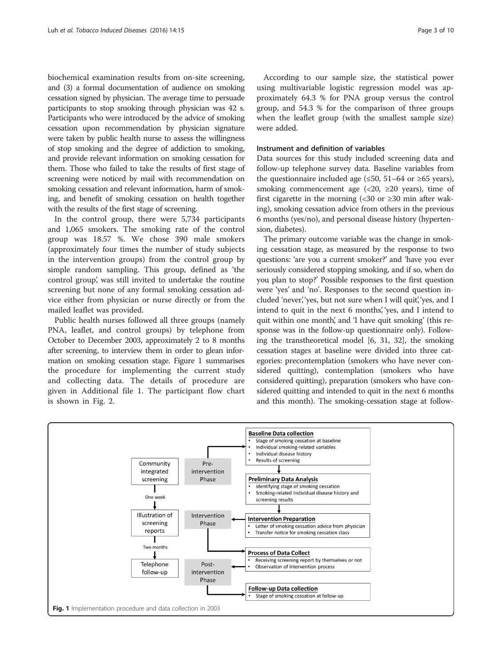biochemical examination results from on-site screening, and (3) a formal documentation of audience on smoking cessation signed by physician. The average time to persuade participants to stop smoking through physician was 42 s. Participants who were introduced by the advice of smoking cessation upon recommendation by physician signature were taken by public health nurse to assess the willingness of stop smoking and the degree of addiction to smoking, and provide relevant information on smoking cessation for them. Those who failed to take the results of first stage of screening were noticed by mail with recommendation on smoking cessation and relevant information, harm of smoking, and benefit of smoking cessation on health together with the results of the first stage of screening.

In the control group, there were 5,734 participants and 1,065 smokers. The smoking rate of the control group was 18.57 %. We chose 390 male smokers (approximately four times the number of study subjects in the intervention groups) from the control group by simple random sampling. This group, defined as 'the control group', was still invited to undertake the routine screening but none of any formal smoking cessation advice either from physician or nurse directly or from the mailed leaflet was provided.

Public health nurses followed all three groups (namely PNA, leaflet, and control groups) by telephone from October to December 2003, approximately 2 to 8 months after screening, to interview them in order to glean information on smoking cessation stage. Figure 1 summarises the procedure for implementing the current study and collecting data. The details of procedure are given in Additional file [1](#page-8-0). The participant flow chart is shown in Fig. [2.](#page-3-0)

According to our sample size, the statistical power using multivariable logistic regression model was approximately 64.3 % for PNA group versus the control group, and 54.3 % for the comparison of three groups when the leaflet group (with the smallest sample size) were added.

#### Instrument and definition of variables

Data sources for this study included screening data and follow-up telephone survey data. Baseline variables from the questionnaire included age  $(\leq 50, 51-64)$  or ≥65 years), smoking commencement age  $\langle 20, 220 \rangle$  years), time of first cigarette in the morning (<30 or  $\geq$ 30 min after waking), smoking cessation advice from others in the previous 6 months (yes/no), and personal disease history (hypertension, diabetes).

The primary outcome variable was the change in smoking cessation stage, as measured by the response to two questions: 'are you a current smoker?' and 'have you ever seriously considered stopping smoking, and if so, when do you plan to stop?' Possible responses to the first question were 'yes' and 'no'. Responses to the second question included 'never', 'yes, but not sure when I will quit', 'yes, and I intend to quit in the next 6 months', 'yes, and I intend to quit within one month', and 'I have quit smoking' (this response was in the follow-up questionnaire only). Following the transtheoretical model [\[6](#page-8-0), [31, 32](#page-9-0)], the smoking cessation stages at baseline were divided into three categories: precontemplation (smokers who have never considered quitting), contemplation (smokers who have considered quitting), preparation (smokers who have considered quitting and intended to quit in the next 6 months and this month). The smoking-cessation stage at follow-

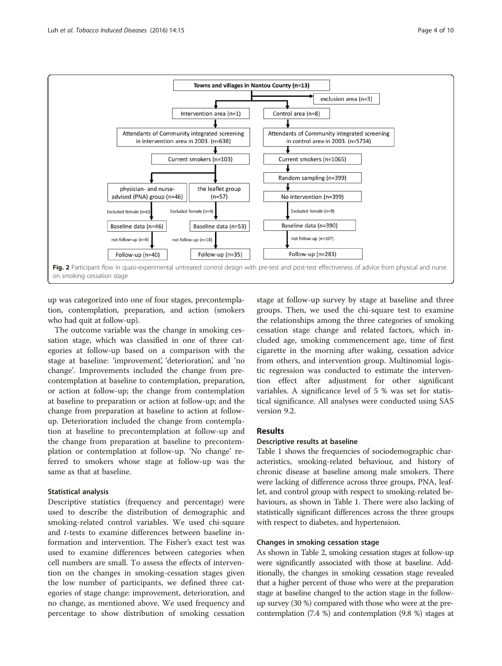<span id="page-3-0"></span>

up was categorized into one of four stages, precontemplation, contemplation, preparation, and action (smokers who had quit at follow-up).

The outcome variable was the change in smoking cessation stage, which was classified in one of three categories at follow-up based on a comparison with the stage at baseline: 'improvement', 'deterioration', and 'no change'. Improvements included the change from precontemplation at baseline to contemplation, preparation, or action at follow-up; the change from contemplation at baseline to preparation or action at follow-up; and the change from preparation at baseline to action at followup. Deterioration included the change from contemplation at baseline to precontemplation at follow-up and the change from preparation at baseline to precontemplation or contemplation at follow-up. 'No change' referred to smokers whose stage at follow-up was the same as that at baseline.

### Statistical analysis

Descriptive statistics (frequency and percentage) were used to describe the distribution of demographic and smoking-related control variables. We used chi-square and t-tests to examine differences between baseline information and intervention. The Fisher's exact test was used to examine differences between categories when cell numbers are small. To assess the effects of intervention on the changes in smoking-cessation stages given the low number of participants, we defined three categories of stage change: improvement, deterioration, and no change, as mentioned above. We used frequency and percentage to show distribution of smoking cessation stage at follow-up survey by stage at baseline and three groups. Then, we used the chi-square test to examine the relationships among the three categories of smoking cessation stage change and related factors, which included age, smoking commencement age, time of first cigarette in the morning after waking, cessation advice from others, and intervention group. Multinomial logistic regression was conducted to estimate the intervention effect after adjustment for other significant variables. A significance level of 5 % was set for statistical significance. All analyses were conducted using SAS version 9.2.

## Results

### Descriptive results at baseline

Table [1](#page-4-0) shows the frequencies of sociodemographic characteristics, smoking-related behaviour, and history of chronic disease at baseline among male smokers. There were lacking of difference across three groups, PNA, leaflet, and control group with respect to smoking-related behaviours, as shown in Table [1.](#page-4-0) There were also lacking of statistically significant differences across the three groups with respect to diabetes, and hypertension.

### Changes in smoking cessation stage

As shown in Table [2,](#page-5-0) smoking cessation stages at follow-up were significantly associated with those at baseline. Additionally, the changes in smoking cessation stage revealed that a higher percent of those who were at the preparation stage at baseline changed to the action stage in the followup survey (30 %) compared with those who were at the precontemplation (7.4 %) and contemplation (9.8 %) stages at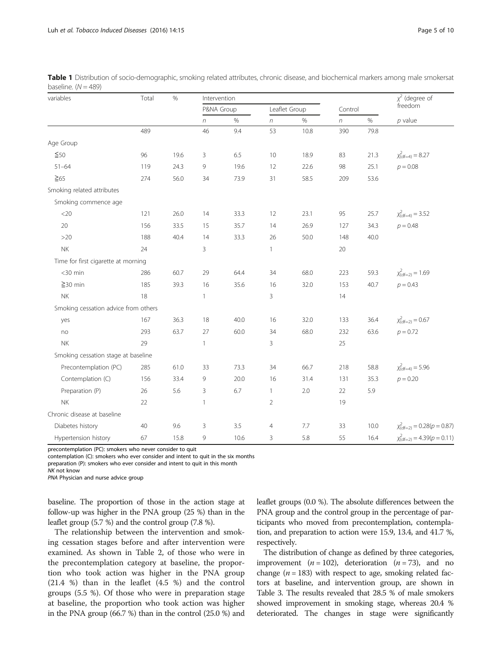| variables                            | Total | $\%$ | Intervention     |      |                  |      |                  |      | $\chi^2$ (degree of                       |  |
|--------------------------------------|-------|------|------------------|------|------------------|------|------------------|------|-------------------------------------------|--|
|                                      |       |      | P&NA Group       |      | Leaflet Group    |      | Control          |      | freedom                                   |  |
|                                      |       |      | $\boldsymbol{n}$ | $\%$ | $\boldsymbol{n}$ | $\%$ | $\boldsymbol{n}$ | $\%$ | $p$ value                                 |  |
|                                      | 489   |      | 46               | 9.4  | 53               | 10.8 | 390              | 79.8 |                                           |  |
| Age Group                            |       |      |                  |      |                  |      |                  |      |                                           |  |
| $\leq 50$                            | 96    | 19.6 | 3                | 6.5  | 10               | 18.9 | 83               | 21.3 | $\chi^2_{\text{(df=4)}} = 8.27$           |  |
| $51 - 64$                            | 119   | 24.3 | 9                | 19.6 | 12               | 22.6 | 98               | 25.1 | $p = 0.08$                                |  |
| $\geq 65$                            | 274   | 56.0 | 34               | 73.9 | 31               | 58.5 | 209              | 53.6 |                                           |  |
| Smoking related attributes           |       |      |                  |      |                  |      |                  |      |                                           |  |
| Smoking commence age                 |       |      |                  |      |                  |      |                  |      |                                           |  |
| $<$ 20                               | 121   | 26.0 | 14               | 33.3 | 12               | 23.1 | 95               | 25.7 | $\chi^2_{\text{(df=4)}}$ = 3.52           |  |
| 20                                   | 156   | 33.5 | 15               | 35.7 | 14               | 26.9 | 127              | 34.3 | $p = 0.48$                                |  |
| $>20$                                | 188   | 40.4 | 14               | 33.3 | 26               | 50.0 | 148              | 40.0 |                                           |  |
| <b>NK</b>                            | 24    |      | 3                |      | $\mathbf{1}$     |      | 20               |      |                                           |  |
| Time for first cigarette at morning  |       |      |                  |      |                  |      |                  |      |                                           |  |
| $<$ 30 min                           | 286   | 60.7 | 29               | 64.4 | 34               | 68.0 | 223              | 59.3 | $\chi^2_{\text{(df=2)}} = 1.69$           |  |
| $≥$ 30 min                           | 185   | 39.3 | 16               | 35.6 | 16               | 32.0 | 153              | 40.7 | $p = 0.43$                                |  |
| <b>NK</b>                            | 18    |      | $\mathbf{1}$     |      | 3                |      | $14\,$           |      |                                           |  |
| Smoking cessation advice from others |       |      |                  |      |                  |      |                  |      |                                           |  |
| yes                                  | 167   | 36.3 | 18               | 40.0 | 16               | 32.0 | 133              | 36.4 | $\chi^2_{\text{(df=2)}} = 0.67$           |  |
| no                                   | 293   | 63.7 | 27               | 60.0 | 34               | 68.0 | 232              | 63.6 | $p = 0.72$                                |  |
| <b>NK</b>                            | 29    |      | $\mathbf{1}$     |      | 3                |      | 25               |      |                                           |  |
| Smoking cessation stage at baseline  |       |      |                  |      |                  |      |                  |      |                                           |  |
| Precontemplation (PC)                | 285   | 61.0 | 33               | 73.3 | 34               | 66.7 | 218              | 58.8 | $\chi^2_{\text{(df=4)}} = 5.96$           |  |
| Contemplation (C)                    | 156   | 33.4 | 9                | 20.0 | 16               | 31.4 | 131              | 35.3 | $p = 0.20$                                |  |
| Preparation (P)                      | 26    | 5.6  | 3                | 6.7  | $\mathbf{1}$     | 2.0  | 22               | 5.9  |                                           |  |
| <b>NK</b>                            | 22    |      | $\mathbf{1}$     |      | $\overline{2}$   |      | 19               |      |                                           |  |
| Chronic disease at baseline          |       |      |                  |      |                  |      |                  |      |                                           |  |
| Diabetes history                     | 40    | 9.6  | 3                | 3.5  | 4                | 7.7  | 33               | 10.0 | $\chi^2_{\text{(df=2)}} = 0.28(p = 0.87)$ |  |
| Hypertension history                 | 67    | 15.8 | 9                | 10.6 | 3                | 5.8  | 55               | 16.4 | $\chi^2_{\text{(df=2)}} = 4.39(p = 0.11)$ |  |

<span id="page-4-0"></span>Table 1 Distribution of socio-demographic, smoking related attributes, chronic disease, and biochemical markers among male smokersat baseline.  $(N = 489)$ 

precontemplation (PC): smokers who never consider to quit

contemplation (C): smokers who ever consider and intent to quit in the six months

preparation (P): smokers who ever consider and intent to quit in this month

NK not know

PNA Physician and nurse advice group

baseline. The proportion of those in the action stage at follow-up was higher in the PNA group (25 %) than in the leaflet group (5.7 %) and the control group (7.8 %).

The relationship between the intervention and smoking cessation stages before and after intervention were examined. As shown in Table [2](#page-5-0), of those who were in the precontemplation category at baseline, the proportion who took action was higher in the PNA group (21.4 %) than in the leaflet (4.5 %) and the control groups (5.5 %). Of those who were in preparation stage at baseline, the proportion who took action was higher in the PNA group (66.7 %) than in the control (25.0 %) and leaflet groups (0.0 %). The absolute differences between the PNA group and the control group in the percentage of participants who moved from precontemplation, contemplation, and preparation to action were 15.9, 13.4, and 41.7 %, respectively.

The distribution of change as defined by three categories, improvement ( $n = 102$ ), deterioration ( $n = 73$ ), and no change ( $n = 183$ ) with respect to age, smoking related factors at baseline, and intervention group, are shown in Table [3](#page-6-0). The results revealed that 28.5 % of male smokers showed improvement in smoking stage, whereas 20.4 % deteriorated. The changes in stage were significantly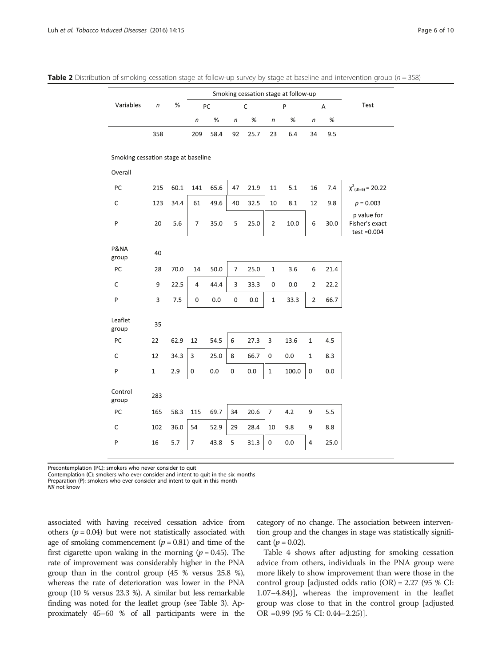|                                     |                |      | Smoking cessation stage at follow-up |         |                     |      |                           |         |                     |      |                                                 |
|-------------------------------------|----------------|------|--------------------------------------|---------|---------------------|------|---------------------------|---------|---------------------|------|-------------------------------------------------|
| Variables                           | $\sqrt{n}$     | %    | PC                                   |         | $\mathsf C$         |      | P                         |         | Α                   |      | Test                                            |
|                                     |                |      | $\sqrt{n}$                           | $\%$    | $\sqrt{n}$          | $\%$ | $\sqrt{n}$                | $\%$    | $\boldsymbol{n}$    | $\%$ |                                                 |
|                                     | 358            |      | 209                                  | 58.4    | 92                  | 25.7 | 23                        | 6.4     | 34                  | 9.5  |                                                 |
| Smoking cessation stage at baseline |                |      |                                      |         |                     |      |                           |         |                     |      |                                                 |
| Overall                             |                |      |                                      |         |                     |      |                           |         |                     |      |                                                 |
| PC                                  | 215            | 60.1 | 141                                  | 65.6    | 47                  | 21.9 | $11\,$                    | 5.1     | 16                  | 7.4  | $\chi^2_{\text{(df=6)}}$ = 20.22                |
| $\mathsf C$                         | 123            | 34.4 | 61                                   | 49.6    | 40                  | 32.5 | 10                        | 8.1     | 12                  | 9.8  | $p = 0.003$                                     |
| P                                   | 20             | 5.6  | $\overline{7}$                       | 35.0    | 5                   | 25.0 | $\sqrt{2}$                | 10.0    | 6                   | 30.0 | p value for<br>Fisher's exact<br>$test = 0.004$ |
| P&NA<br>group                       | 40             |      |                                      |         |                     |      |                           |         |                     |      |                                                 |
| PC                                  | 28             | 70.0 | 14                                   | 50.0    | $\overline{7}$      | 25.0 | $\mathbf 1$               | 3.6     | 6                   | 21.4 |                                                 |
| $\mathsf C$                         | 9              | 22.5 | $\overline{4}$                       | 44.4    | 3                   | 33.3 | 0                         | $0.0\,$ | $\overline{2}$      | 22.2 |                                                 |
| P                                   | $\overline{3}$ | 7.5  | 0                                    | 0.0     | $\mathbf 0$         | 0.0  | $\mathbf 1$               | 33.3    | $\overline{2}$      | 66.7 |                                                 |
| Leaflet<br>group                    | 35             |      |                                      |         |                     |      |                           |         |                     |      |                                                 |
| PC                                  | 22             | 62.9 | 12                                   | 54.5    | 6                   | 27.3 | $\ensuremath{\mathsf{3}}$ | 13.6    | $\mathbf{1}$        | 4.5  |                                                 |
| $\mathsf C$                         | 12             | 34.3 | $\overline{3}$                       | 25.0    | 8                   | 66.7 | 0                         | $0.0\,$ | $\mathbf{1}$        | 8.3  |                                                 |
| ${\sf P}$                           | $\,1\,$        | 2.9  | $\mathbf 0$                          | $0.0\,$ | $\mathsf{O}\xspace$ | 0.0  | $1\,$                     | 100.0   | $\mathsf{O}\xspace$ | 0.0  |                                                 |
| Control<br>group                    | 283            |      |                                      |         |                     |      |                           |         |                     |      |                                                 |
| PC                                  | 165            | 58.3 | 115                                  | 69.7    | 34                  | 20.6 | $\overline{7}$            | 4.2     | 9                   | 5.5  |                                                 |
| $\mathsf C$                         | 102            | 36.0 | 54                                   | 52.9    | 29                  | 28.4 | 10                        | 9.8     | 9                   | 8.8  |                                                 |
| P                                   | 16             | 5.7  | 7                                    | 43.8    | 5                   | 31.3 | 0                         | 0.0     | 4                   | 25.0 |                                                 |
|                                     |                |      |                                      |         |                     |      |                           |         |                     |      |                                                 |

<span id="page-5-0"></span>**Table 2** Distribution of smoking cessation stage at follow-up survey by stage at baseline and intervention group ( $n = 358$ )

Precontemplation (PC): smokers who never consider to quit

Contemplation (C): smokers who ever consider and intent to quit in the six months

Preparation (P): smokers who ever consider and intent to quit in this month

NK not know

associated with having received cessation advice from others ( $p = 0.04$ ) but were not statistically associated with age of smoking commencement  $(p = 0.81)$  and time of the first cigarette upon waking in the morning ( $p = 0.45$ ). The rate of improvement was considerably higher in the PNA group than in the control group (45 % versus 25.8 %), whereas the rate of deterioration was lower in the PNA group (10 % versus 23.3 %). A similar but less remarkable finding was noted for the leaflet group (see Table [3](#page-6-0)). Approximately 45–60 % of all participants were in the

category of no change. The association between intervention group and the changes in stage was statistically significant ( $p = 0.02$ ).

Table [4](#page-7-0) shows after adjusting for smoking cessation advice from others, individuals in the PNA group were more likely to show improvement than were those in the control group [adjusted odds ratio (OR) = 2.27 (95 % CI: 1.07–4.84)], whereas the improvement in the leaflet group was close to that in the control group [adjusted OR =0.99 (95 % CI: 0.44–2.25)].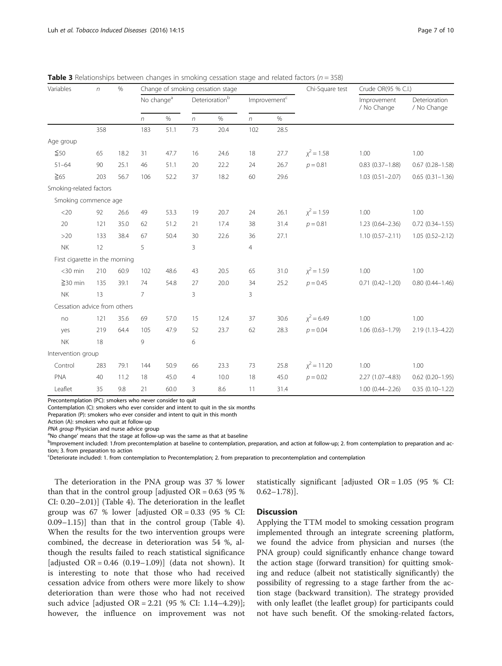| $\%$<br>Variables<br>$\sqrt{n}$ |     |                        |                |                   |                | Change of smoking cessation stage |                | Chi-Square test | Crude OR(95 % C.I.)        |                              |                        |
|---------------------------------|-----|------------------------|----------------|-------------------|----------------|-----------------------------------|----------------|-----------------|----------------------------|------------------------------|------------------------|
|                                 |     | No change <sup>a</sup> |                | Deterioration $b$ |                | Improvement <sup>c</sup>          |                |                 | Improvement<br>/ No Change | Deterioration<br>/ No Change |                        |
|                                 |     | n                      | $\%$           | $\sqrt{n}$        | $\%$           | $\eta$                            | $\%$           |                 |                            |                              |                        |
|                                 | 358 |                        | 183            | 51.1              | 73             | 20.4                              | 102            | 28.5            |                            |                              |                        |
| Age group                       |     |                        |                |                   |                |                                   |                |                 |                            |                              |                        |
| $\leq 50$                       | 65  | 18.2                   | 31             | 47.7              | 16             | 24.6                              | 18             | 27.7            | $x^2 = 1.58$               | 1.00                         | 1.00                   |
| $51 - 64$                       | 90  | 25.1                   | 46             | 51.1              | 20             | 22.2                              | 24             | 26.7            | $p = 0.81$                 | $0.83(0.37 - 1.88)$          | $0.67$ $(0.28 - 1.58)$ |
| $\geq 65$                       | 203 | 56.7                   | 106            | 52.2              | 37             | 18.2                              | 60             | 29.6            |                            | $1.03(0.51 - 2.07)$          | $0.65(0.31 - 1.36)$    |
| Smoking-related factors         |     |                        |                |                   |                |                                   |                |                 |                            |                              |                        |
| Smoking commence age            |     |                        |                |                   |                |                                   |                |                 |                            |                              |                        |
| <20                             | 92  | 26.6                   | 49             | 53.3              | 19             | 20.7                              | 24             | 26.1            | $x^2 = 1.59$               | 1.00                         | 1.00                   |
| 20                              | 121 | 35.0                   | 62             | 51.2              | 21             | 17.4                              | 38             | 31.4            | $p = 0.81$                 | $1.23(0.64 - 2.36)$          | $0.72$ $(0.34 - 1.55)$ |
| >20                             | 133 | 38.4                   | 67             | 50.4              | 30             | 22.6                              | 36             | 27.1            |                            | $1.10(0.57 - 2.11)$          | $1.05(0.52 - 2.12)$    |
| <b>NK</b>                       | 12  |                        | 5              |                   | 3              |                                   | $\overline{4}$ |                 |                            |                              |                        |
| First cigarette in the morning  |     |                        |                |                   |                |                                   |                |                 |                            |                              |                        |
| $<$ 30 min                      | 210 | 60.9                   | 102            | 48.6              | 43             | 20.5                              | 65             | 31.0            | $x^2 = 1.59$               | 1.00                         | 1.00                   |
| $\geq$ 30 min                   | 135 | 39.1                   | 74             | 54.8              | 27             | 20.0                              | 34             | 25.2            | $p = 0.45$                 | $0.71(0.42 - 1.20)$          | $0.80(0.44 - 1.46)$    |
| <b>NK</b>                       | 13  |                        | $\overline{7}$ |                   | 3              |                                   | 3              |                 |                            |                              |                        |
| Cessation advice from others    |     |                        |                |                   |                |                                   |                |                 |                            |                              |                        |
| no                              | 121 | 35.6                   | 69             | 57.0              | 15             | 12.4                              | 37             | 30.6            | $x^2 = 6.49$               | 1.00                         | 1.00                   |
| yes                             | 219 | 64.4                   | 105            | 47.9              | 52             | 23.7                              | 62             | 28.3            | $p = 0.04$                 | $1.06(0.63 - 1.79)$          | 2.19 (1.13-4.22)       |
| <b>NK</b>                       | 18  |                        | 9              |                   | 6              |                                   |                |                 |                            |                              |                        |
| Intervention group              |     |                        |                |                   |                |                                   |                |                 |                            |                              |                        |
| Control                         | 283 | 79.1                   | 144            | 50.9              | 66             | 23.3                              | 73             | 25.8            | $\chi^2$ = 11.20           | 1.00                         | 1.00                   |
| PNA                             | 40  | 11.2                   | 18             | 45.0              | $\overline{4}$ | 10.0                              | 18             | 45.0            | $p = 0.02$                 | 2.27 (1.07-4.83)             | $0.62$ (0.20-1.95)     |
| Leaflet                         | 35  | 9.8                    | 21             | 60.0              | 3              | 8.6                               | 11             | 31.4            |                            | $1.00(0.44 - 2.26)$          | $0.35(0.10-1.22)$      |

<span id="page-6-0"></span>**Table 3** Relationships between changes in smoking cessation stage and related factors  $(n - 358)$ 

Precontemplation (PC): smokers who never consider to quit

Contemplation (C): smokers who ever consider and intent to quit in the six months

Preparation (P): smokers who ever consider and intent to quit in this month

Action (A): smokers who quit at follow-up

PNA group Physician and nurse advice group

<sup>a</sup>No change' means that the stage at follow-up was the same as that at baseline

<sup>b</sup>Improvement included: 1.from precontemplation at baseline to contemplation, preparation, and action at follow-up; 2. from contemplation to preparation and action; 3. from preparation to action

c Deteriorate included: 1. from contemplation to Precontemplation; 2. from preparation to precontemplation and contemplation

The deterioration in the PNA group was 37 % lower than that in the control group [adjusted  $OR = 0.63$  (95 %) CI: 0.20–2.01)] (Table [4\)](#page-7-0). The deterioration in the leaflet group was 67 % lower [adjusted  $OR = 0.33$  (95 % CI: 0.09–1.15)] than that in the control group (Table [4](#page-7-0)). When the results for the two intervention groups were combined, the decrease in deterioration was 54 %, although the results failed to reach statistical significance [adjusted  $OR = 0.46$  (0.19–1.09)] (data not shown). It is interesting to note that those who had received cessation advice from others were more likely to show deterioration than were those who had not received such advice [adjusted OR = 2.21 (95 % CI: 1.14–4.29)]; however, the influence on improvement was not

statistically significant [adjusted OR = 1.05 (95 % CI:  $0.62 - 1.78$ ].

### **Discussion**

Applying the TTM model to smoking cessation program implemented through an integrate screening platform, we found the advice from physician and nurses (the PNA group) could significantly enhance change toward the action stage (forward transition) for quitting smoking and reduce (albeit not statistically significantly) the possibility of regressing to a stage farther from the action stage (backward transition). The strategy provided with only leaflet (the leaflet group) for participants could not have such benefit. Of the smoking-related factors,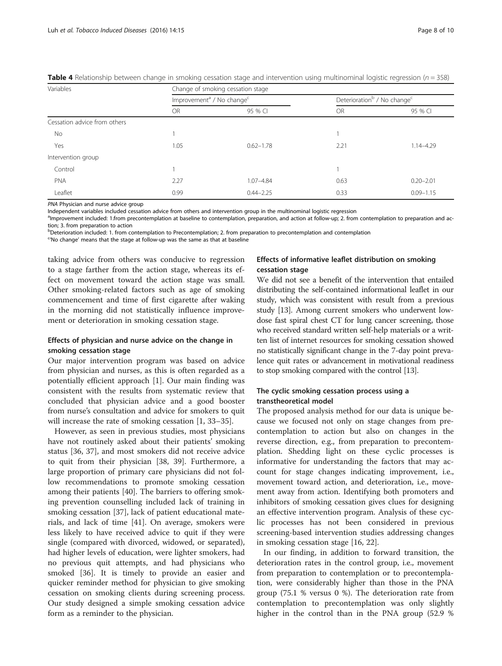| Variables                    | Change of smoking cessation stage                 |               |                                                     |               |  |  |  |  |  |  |
|------------------------------|---------------------------------------------------|---------------|-----------------------------------------------------|---------------|--|--|--|--|--|--|
|                              | Improvement <sup>a</sup> / No change <sup>c</sup> |               | Deterioration <sup>b</sup> / No change <sup>c</sup> |               |  |  |  |  |  |  |
|                              | <b>OR</b>                                         | 95 % CI       | OR                                                  | 95 % CI       |  |  |  |  |  |  |
| Cessation advice from others |                                                   |               |                                                     |               |  |  |  |  |  |  |
| No.                          |                                                   |               |                                                     |               |  |  |  |  |  |  |
| Yes                          | 1.05                                              | $0.62 - 1.78$ | 2.21                                                | $1.14 - 4.29$ |  |  |  |  |  |  |
| Intervention group           |                                                   |               |                                                     |               |  |  |  |  |  |  |
| Control                      |                                                   |               |                                                     |               |  |  |  |  |  |  |
| PNA                          | 2.27                                              | $1.07 - 4.84$ | 0.63                                                | $0.20 - 2.01$ |  |  |  |  |  |  |
| Leaflet                      | 0.99                                              | $0.44 - 2.25$ | 0.33                                                | $0.09 - 1.15$ |  |  |  |  |  |  |

<span id="page-7-0"></span>Table 4 Relationship between change in smoking cessation stage and intervention using multinominal logistic regression ( $n = 358$ )

PNA Physician and nurse advice group

Independent variables included cessation advice from others and intervention group in the multinominal logistic regression

<sup>a</sup>lmprovement included: 1.from precontemplation at baseline to contemplation, preparation, and action at follow-up; 2. from contemplation to preparation and action; 3. from preparation to action

**b** Deterioration included: 1. from contemplation to Precontemplation; 2. from preparation to precontemplation and contemplation

<sup>c</sup>'No change' means that the stage at follow-up was the same as that at baseline

taking advice from others was conducive to regression to a stage farther from the action stage, whereas its effect on movement toward the action stage was small. Other smoking-related factors such as age of smoking commencement and time of first cigarette after waking in the morning did not statistically influence improvement or deterioration in smoking cessation stage.

## Effects of physician and nurse advice on the change in smoking cessation stage

Our major intervention program was based on advice from physician and nurses, as this is often regarded as a potentially efficient approach [\[1](#page-8-0)]. Our main finding was consistent with the results from systematic review that concluded that physician advice and a good booster from nurse's consultation and advice for smokers to quit will increase the rate of smoking cessation [\[1](#page-8-0), [33](#page-9-0)–[35\]](#page-9-0).

However, as seen in previous studies, most physicians have not routinely asked about their patients' smoking status [[36, 37\]](#page-9-0), and most smokers did not receive advice to quit from their physician [[38](#page-9-0), [39\]](#page-9-0). Furthermore, a large proportion of primary care physicians did not follow recommendations to promote smoking cessation among their patients [[40\]](#page-9-0). The barriers to offering smoking prevention counselling included lack of training in smoking cessation [\[37](#page-9-0)], lack of patient educational materials, and lack of time [[41\]](#page-9-0). On average, smokers were less likely to have received advice to quit if they were single (compared with divorced, widowed, or separated), had higher levels of education, were lighter smokers, had no previous quit attempts, and had physicians who smoked [[36\]](#page-9-0). It is timely to provide an easier and quicker reminder method for physician to give smoking cessation on smoking clients during screening process. Our study designed a simple smoking cessation advice form as a reminder to the physician.

## Effects of informative leaflet distribution on smoking cessation stage

We did not see a benefit of the intervention that entailed distributing the self-contained informational leaflet in our study, which was consistent with result from a previous study [[13](#page-9-0)]. Among current smokers who underwent lowdose fast spiral chest CT for lung cancer screening, those who received standard written self-help materials or a written list of internet resources for smoking cessation showed no statistically significant change in the 7-day point prevalence quit rates or advancement in motivational readiness to stop smoking compared with the control [\[13\]](#page-9-0).

## The cyclic smoking cessation process using a transtheoretical model

The proposed analysis method for our data is unique because we focused not only on stage changes from precontemplation to action but also on changes in the reverse direction, e.g., from preparation to precontemplation. Shedding light on these cyclic processes is informative for understanding the factors that may account for stage changes indicating improvement, i.e., movement toward action, and deterioration, i.e., movement away from action. Identifying both promoters and inhibitors of smoking cessation gives clues for designing an effective intervention program. Analysis of these cyclic processes has not been considered in previous screening-based intervention studies addressing changes in smoking cessation stage [[16, 22](#page-9-0)].

In our finding, in addition to forward transition, the deterioration rates in the control group, i.e., movement from preparation to contemplation or to precontemplation, were considerably higher than those in the PNA group (75.1 % versus 0 %). The deterioration rate from contemplation to precontemplation was only slightly higher in the control than in the PNA group (52.9 %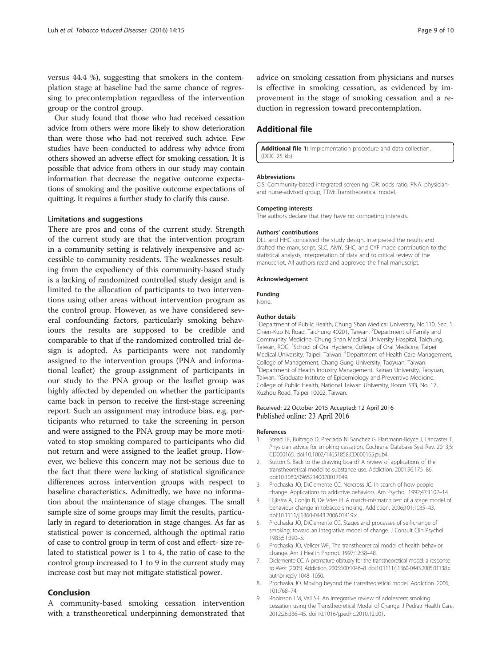<span id="page-8-0"></span>versus 44.4 %), suggesting that smokers in the contemplation stage at baseline had the same chance of regressing to precontemplation regardless of the intervention group or the control group.

Our study found that those who had received cessation advice from others were more likely to show deterioration than were those who had not received such advice. Few studies have been conducted to address why advice from others showed an adverse effect for smoking cessation. It is possible that advice from others in our study may contain information that decrease the negative outcome expectations of smoking and the positive outcome expectations of quitting. It requires a further study to clarify this cause.

#### Limitations and suggestions

There are pros and cons of the current study. Strength of the current study are that the intervention program in a community setting is relatively inexpensive and accessible to community residents. The weaknesses resulting from the expediency of this community-based study is a lacking of randomized controlled study design and is limited to the allocation of participants to two interventions using other areas without intervention program as the control group. However, as we have considered several confounding factors, particularly smoking behaviours the results are supposed to be credible and comparable to that if the randomized controlled trial design is adopted. As participants were not randomly assigned to the intervention groups (PNA and informational leaflet) the group-assignment of participants in our study to the PNA group or the leaflet group was highly affected by depended on whether the participants came back in person to receive the first-stage screening report. Such an assignment may introduce bias, e.g. participants who returned to take the screening in person and were assigned to the PNA group may be more motivated to stop smoking compared to participants who did not return and were assigned to the leaflet group. However, we believe this concern may not be serious due to the fact that there were lacking of statistical significance differences across intervention groups with respect to baseline characteristics. Admittedly, we have no information about the maintenance of stage changes. The small sample size of some groups may limit the results, particularly in regard to deterioration in stage changes. As far as statistical power is concerned, although the optimal ratio of case to control group in term of cost and effect- size related to statistical power is 1 to 4, the ratio of case to the control group increased to 1 to 9 in the current study may increase cost but may not mitigate statistical power.

## Conclusion

A community-based smoking cessation intervention with a transtheoretical underpinning demonstrated that advice on smoking cessation from physicians and nurses is effective in smoking cessation, as evidenced by improvement in the stage of smoking cessation and a reduction in regression toward precontemplation.

## Additional file

[Additional file 1:](dx.doi.org/10.1186/s12971-016-0080-0) Implementation procedure and data collection. (DOC 25 kb)

#### Abbreviations

CIS: Community-based integrated screening; OR: odds ratio; PNA: physicianand nurse-advised group; TTM: Transtheoretical model.

#### Competing interests

The authors declare that they have no competing interests.

#### Authors' contributions

DLL and HHC conceived the study design, interpreted the results and drafted the manuscript. SLC, AMY, SHC, and CYF made contribution to the statistical analysis, interpretation of data and to critical review of the manuscript. All authors read and approved the final manuscript.

#### Acknowledgement

Funding

None.

#### Author details

<sup>1</sup>Department of Public Health, Chung Shan Medical University, No.110, Sec. 1 Chien-Kuo N. Road, Taichung 40201, Taiwan. <sup>2</sup>Department of Family and Community Medicine, Chung Shan Medical University Hospital, Taichung, Taiwan, ROC. <sup>3</sup>School of Oral Hygiene, College of Oral Medicine, Taipei Medical University, Taipei, Taiwan. <sup>4</sup> Department of Health Care Management, College of Management, Chang Gung University, Taoyuan, Taiwan. 5 Department of Health Industry Management, Kainan University, Taoyuan, Taiwan. <sup>6</sup>Graduate Institute of Epidemiology and Preventive Medicine College of Public Health, National Taiwan University, Room 533, No. 17, Xuzhou Road, Taipei 10002, Taiwan.

#### Received: 22 October 2015 Accepted: 12 April 2016 Published online: 23 April 2016

#### References

- 1. Stead LF, Buitrago D, Preciado N, Sanchez G, Hartmann-Boyce J, Lancaster T. Physician advice for smoking cessation. Cochrane Database Syst Rev. 2013;5: CD000165. doi[:10.1002/14651858.CD000165.pub4](http://dx.doi.org/10.1002/14651858.CD000165.pub4).
- 2. Sutton S. Back to the drawing board? A review of applications of the transtheoretical model to substance use. Addiction. 2001;96:175–86. doi[:10.1080/09652140020017049](http://dx.doi.org/10.1080/09652140020017049).
- 3. Prochaska JO, DiClemente CC, Norcross JC. In search of how people change. Applications to addictive behaviors. Am Psychol. 1992;47:1102–14.
- 4. Dijkstra A, Conijn B, De Vries H. A match-mismatch test of a stage model of behaviour change in tobacco smoking. Addiction. 2006;101:1035–43. doi[:10.1111/j.1360-0443.2006.01419.x](http://dx.doi.org/10.1111/j.1360-0443.2006.01419.x).
- 5. Prochaska JO, DiClemente CC. Stages and processes of self-change of smoking: toward an integrative model of change. J Consult Clin Psychol. 1983;51:390–5.
- Prochaska JO, Velicer WF. The transtheoretical model of health behavior change. Am J Health Promot. 1997;12:38–48.
- 7. Diclemente CC. A premature obituary for the transtheoretical model: a response to West (2005). Addiction. 2005;100:1046–8. doi:[10.1111/j.1360-0443.2005.01138.x](http://dx.doi.org/10.1111/j.1360-0443.2005.01138.x). author reply 1048–1050.
- 8. Prochaska JO. Moving beyond the transtheoretical model. Addiction. 2006; 101:768–74.
- 9. Robinson LM, Vail SR. An integrative review of adolescent smoking cessation using the Transtheoretical Model of Change. J Pediatr Health Care. 2012;26:336–45. doi:[10.1016/j.pedhc.2010.12.001.](http://dx.doi.org/10.1016/j.pedhc.2010.12.001)